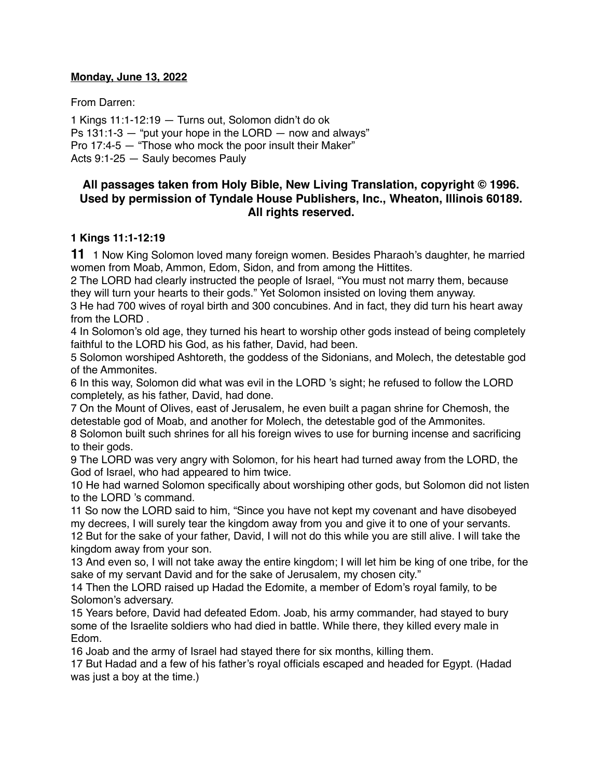### **Monday, June 13, 2022**

From Darren:

1 Kings 11:1-12:19 — Turns out, Solomon didn't do ok Ps  $131:1-3$  – "put your hope in the LORD – now and always" Pro 17:4-5 — "Those who mock the poor insult their Maker"

Acts 9:1-25 — Sauly becomes Pauly

# **All passages taken from Holy Bible, [New Living Translation](http://www.newlivingtranslation.com/), copyright © 1996. Used by permission of [Tyndale House Publishers](http://tyndale.com/), Inc., Wheaton, Illinois 60189. All rights reserved.**

### **1 Kings 11:1-12:19**

**11** 1 Now King Solomon loved many foreign women. Besides Pharaoh's daughter, he married women from Moab, Ammon, Edom, Sidon, and from among the Hittites.

2 The LORD had clearly instructed the people of Israel, "You must not marry them, because they will turn your hearts to their gods." Yet Solomon insisted on loving them anyway.

3 He had 700 wives of royal birth and 300 concubines. And in fact, they did turn his heart away from the LORD .

4 In Solomon's old age, they turned his heart to worship other gods instead of being completely faithful to the LORD his God, as his father, David, had been.

5 Solomon worshiped Ashtoreth, the goddess of the Sidonians, and Molech, the detestable god of the Ammonites.

6 In this way, Solomon did what was evil in the LORD 's sight; he refused to follow the LORD completely, as his father, David, had done.

7 On the Mount of Olives, east of Jerusalem, he even built a pagan shrine for Chemosh, the detestable god of Moab, and another for Molech, the detestable god of the Ammonites.

8 Solomon built such shrines for all his foreign wives to use for burning incense and sacrificing to their gods.

9 The LORD was very angry with Solomon, for his heart had turned away from the LORD, the God of Israel, who had appeared to him twice.

10 He had warned Solomon specifically about worshiping other gods, but Solomon did not listen to the LORD 's command.

11 So now the LORD said to him, "Since you have not kept my covenant and have disobeyed my decrees, I will surely tear the kingdom away from you and give it to one of your servants. 12 But for the sake of your father, David, I will not do this while you are still alive. I will take the kingdom away from your son.

13 And even so, I will not take away the entire kingdom; I will let him be king of one tribe, for the sake of my servant David and for the sake of Jerusalem, my chosen city."

14 Then the LORD raised up Hadad the Edomite, a member of Edom's royal family, to be Solomon's adversary.

15 Years before, David had defeated Edom. Joab, his army commander, had stayed to bury some of the Israelite soldiers who had died in battle. While there, they killed every male in Edom.

16 Joab and the army of Israel had stayed there for six months, killing them.

17 But Hadad and a few of his father's royal officials escaped and headed for Egypt. (Hadad was just a boy at the time.)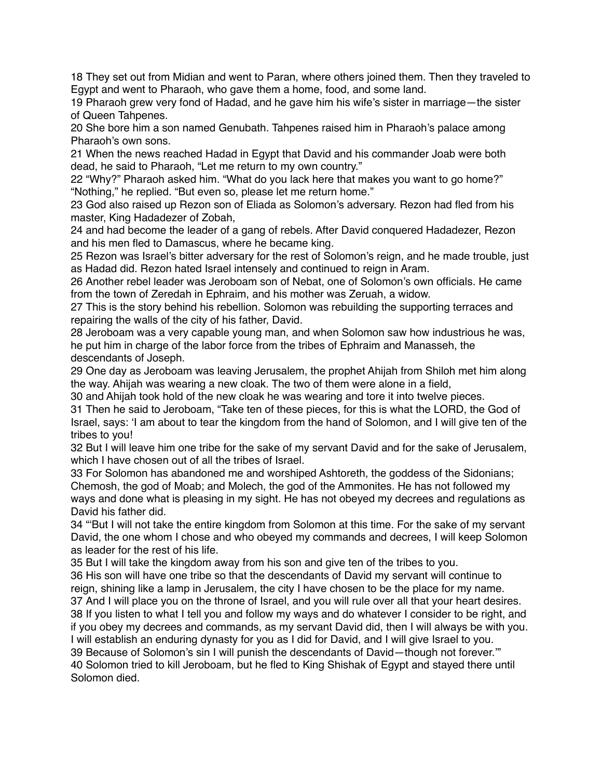18 They set out from Midian and went to Paran, where others joined them. Then they traveled to Egypt and went to Pharaoh, who gave them a home, food, and some land.

19 Pharaoh grew very fond of Hadad, and he gave him his wife's sister in marriage—the sister of Queen Tahpenes.

20 She bore him a son named Genubath. Tahpenes raised him in Pharaoh's palace among Pharaoh's own sons.

21 When the news reached Hadad in Egypt that David and his commander Joab were both dead, he said to Pharaoh, "Let me return to my own country."

22 "Why?" Pharaoh asked him. "What do you lack here that makes you want to go home?" "Nothing," he replied. "But even so, please let me return home."

23 God also raised up Rezon son of Eliada as Solomon's adversary. Rezon had fled from his master, King Hadadezer of Zobah,

24 and had become the leader of a gang of rebels. After David conquered Hadadezer, Rezon and his men fled to Damascus, where he became king.

25 Rezon was Israel's bitter adversary for the rest of Solomon's reign, and he made trouble, just as Hadad did. Rezon hated Israel intensely and continued to reign in Aram.

26 Another rebel leader was Jeroboam son of Nebat, one of Solomon's own officials. He came from the town of Zeredah in Ephraim, and his mother was Zeruah, a widow.

27 This is the story behind his rebellion. Solomon was rebuilding the supporting terraces and repairing the walls of the city of his father, David.

28 Jeroboam was a very capable young man, and when Solomon saw how industrious he was, he put him in charge of the labor force from the tribes of Ephraim and Manasseh, the descendants of Joseph.

29 One day as Jeroboam was leaving Jerusalem, the prophet Ahijah from Shiloh met him along the way. Ahijah was wearing a new cloak. The two of them were alone in a field,

30 and Ahijah took hold of the new cloak he was wearing and tore it into twelve pieces.

31 Then he said to Jeroboam, "Take ten of these pieces, for this is what the LORD, the God of Israel, says: 'I am about to tear the kingdom from the hand of Solomon, and I will give ten of the tribes to you!

32 But I will leave him one tribe for the sake of my servant David and for the sake of Jerusalem, which I have chosen out of all the tribes of Israel.

33 For Solomon has abandoned me and worshiped Ashtoreth, the goddess of the Sidonians; Chemosh, the god of Moab; and Molech, the god of the Ammonites. He has not followed my ways and done what is pleasing in my sight. He has not obeyed my decrees and regulations as David his father did.

34 "'But I will not take the entire kingdom from Solomon at this time. For the sake of my servant David, the one whom I chose and who obeyed my commands and decrees, I will keep Solomon as leader for the rest of his life.

35 But I will take the kingdom away from his son and give ten of the tribes to you.

36 His son will have one tribe so that the descendants of David my servant will continue to reign, shining like a lamp in Jerusalem, the city I have chosen to be the place for my name. 37 And I will place you on the throne of Israel, and you will rule over all that your heart desires.

38 If you listen to what I tell you and follow my ways and do whatever I consider to be right, and if you obey my decrees and commands, as my servant David did, then I will always be with you. I will establish an enduring dynasty for you as I did for David, and I will give Israel to you.

39 Because of Solomon's sin I will punish the descendants of David—though not forever.'" 40 Solomon tried to kill Jeroboam, but he fled to King Shishak of Egypt and stayed there until

Solomon died.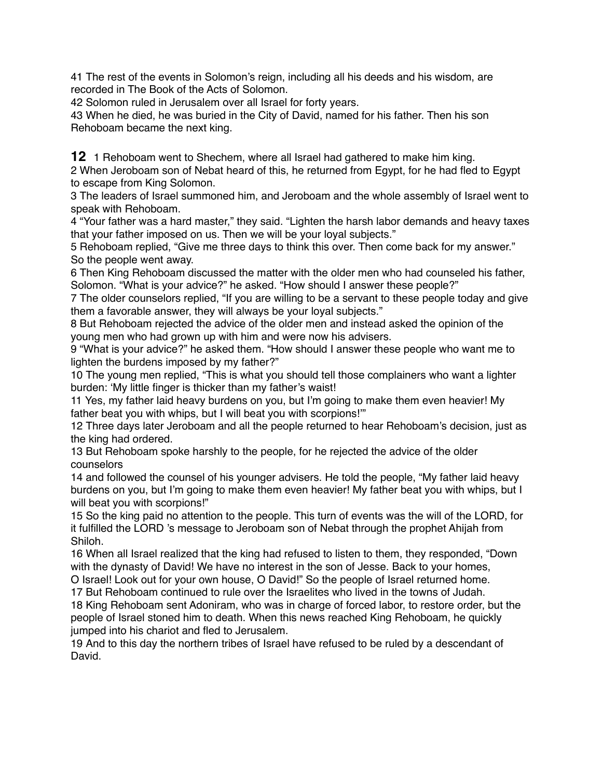41 The rest of the events in Solomon's reign, including all his deeds and his wisdom, are recorded in The Book of the Acts of Solomon.

42 Solomon ruled in Jerusalem over all Israel for forty years.

43 When he died, he was buried in the City of David, named for his father. Then his son Rehoboam became the next king.

**12** 1 Rehoboam went to Shechem, where all Israel had gathered to make him king.

2 When Jeroboam son of Nebat heard of this, he returned from Egypt, for he had fled to Egypt to escape from King Solomon.

3 The leaders of Israel summoned him, and Jeroboam and the whole assembly of Israel went to speak with Rehoboam.

4 "Your father was a hard master," they said. "Lighten the harsh labor demands and heavy taxes that your father imposed on us. Then we will be your loyal subjects."

5 Rehoboam replied, "Give me three days to think this over. Then come back for my answer." So the people went away.

6 Then King Rehoboam discussed the matter with the older men who had counseled his father, Solomon. "What is your advice?" he asked. "How should I answer these people?"

7 The older counselors replied, "If you are willing to be a servant to these people today and give them a favorable answer, they will always be your loyal subjects."

8 But Rehoboam rejected the advice of the older men and instead asked the opinion of the young men who had grown up with him and were now his advisers.

9 "What is your advice?" he asked them. "How should I answer these people who want me to lighten the burdens imposed by my father?"

10 The young men replied, "This is what you should tell those complainers who want a lighter burden: 'My little finger is thicker than my father's waist!

11 Yes, my father laid heavy burdens on you, but I'm going to make them even heavier! My father beat you with whips, but I will beat you with scorpions!"

12 Three days later Jeroboam and all the people returned to hear Rehoboam's decision, just as the king had ordered.

13 But Rehoboam spoke harshly to the people, for he rejected the advice of the older counselors

14 and followed the counsel of his younger advisers. He told the people, "My father laid heavy burdens on you, but I'm going to make them even heavier! My father beat you with whips, but I will beat you with scorpions!"

15 So the king paid no attention to the people. This turn of events was the will of the LORD, for it fulfilled the LORD 's message to Jeroboam son of Nebat through the prophet Ahijah from Shiloh.

16 When all Israel realized that the king had refused to listen to them, they responded, "Down with the dynasty of David! We have no interest in the son of Jesse. Back to your homes,

O Israel! Look out for your own house, O David!" So the people of Israel returned home. 17 But Rehoboam continued to rule over the Israelites who lived in the towns of Judah.

18 King Rehoboam sent Adoniram, who was in charge of forced labor, to restore order, but the people of Israel stoned him to death. When this news reached King Rehoboam, he quickly jumped into his chariot and fled to Jerusalem.

19 And to this day the northern tribes of Israel have refused to be ruled by a descendant of David.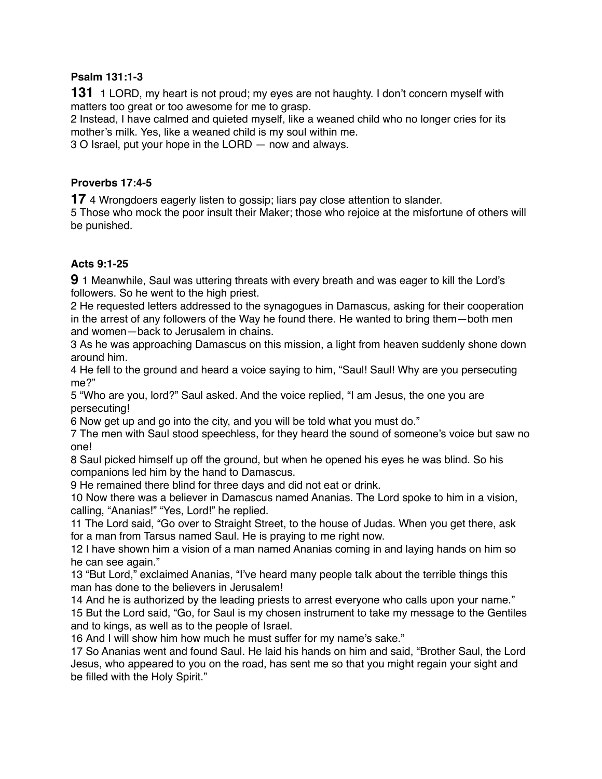### **Psalm 131:1-3**

**131** 1 LORD, my heart is not proud; my eyes are not haughty. I don't concern myself with matters too great or too awesome for me to grasp.

2 Instead, I have calmed and quieted myself, like a weaned child who no longer cries for its mother's milk. Yes, like a weaned child is my soul within me.

3 O Israel, put your hope in the LORD — now and always.

#### **Proverbs 17:4-5**

**17** 4 Wrongdoers eagerly listen to gossip; liars pay close attention to slander.

5 Those who mock the poor insult their Maker; those who rejoice at the misfortune of others will be punished.

# **Acts 9:1-25**

**9** 1 Meanwhile, Saul was uttering threats with every breath and was eager to kill the Lord's followers. So he went to the high priest.

2 He requested letters addressed to the synagogues in Damascus, asking for their cooperation in the arrest of any followers of the Way he found there. He wanted to bring them—both men and women—back to Jerusalem in chains.

3 As he was approaching Damascus on this mission, a light from heaven suddenly shone down around him.

4 He fell to the ground and heard a voice saying to him, "Saul! Saul! Why are you persecuting me?"

5 "Who are you, lord?" Saul asked. And the voice replied, "I am Jesus, the one you are persecuting!

6 Now get up and go into the city, and you will be told what you must do."

7 The men with Saul stood speechless, for they heard the sound of someone's voice but saw no one!

8 Saul picked himself up off the ground, but when he opened his eyes he was blind. So his companions led him by the hand to Damascus.

9 He remained there blind for three days and did not eat or drink.

10 Now there was a believer in Damascus named Ananias. The Lord spoke to him in a vision, calling, "Ananias!" "Yes, Lord!" he replied.

11 The Lord said, "Go over to Straight Street, to the house of Judas. When you get there, ask for a man from Tarsus named Saul. He is praying to me right now.

12 I have shown him a vision of a man named Ananias coming in and laying hands on him so he can see again."

13 "But Lord," exclaimed Ananias, "I've heard many people talk about the terrible things this man has done to the believers in Jerusalem!

14 And he is authorized by the leading priests to arrest everyone who calls upon your name." 15 But the Lord said, "Go, for Saul is my chosen instrument to take my message to the Gentiles and to kings, as well as to the people of Israel.

16 And I will show him how much he must suffer for my name's sake."

17 So Ananias went and found Saul. He laid his hands on him and said, "Brother Saul, the Lord Jesus, who appeared to you on the road, has sent me so that you might regain your sight and be filled with the Holy Spirit."